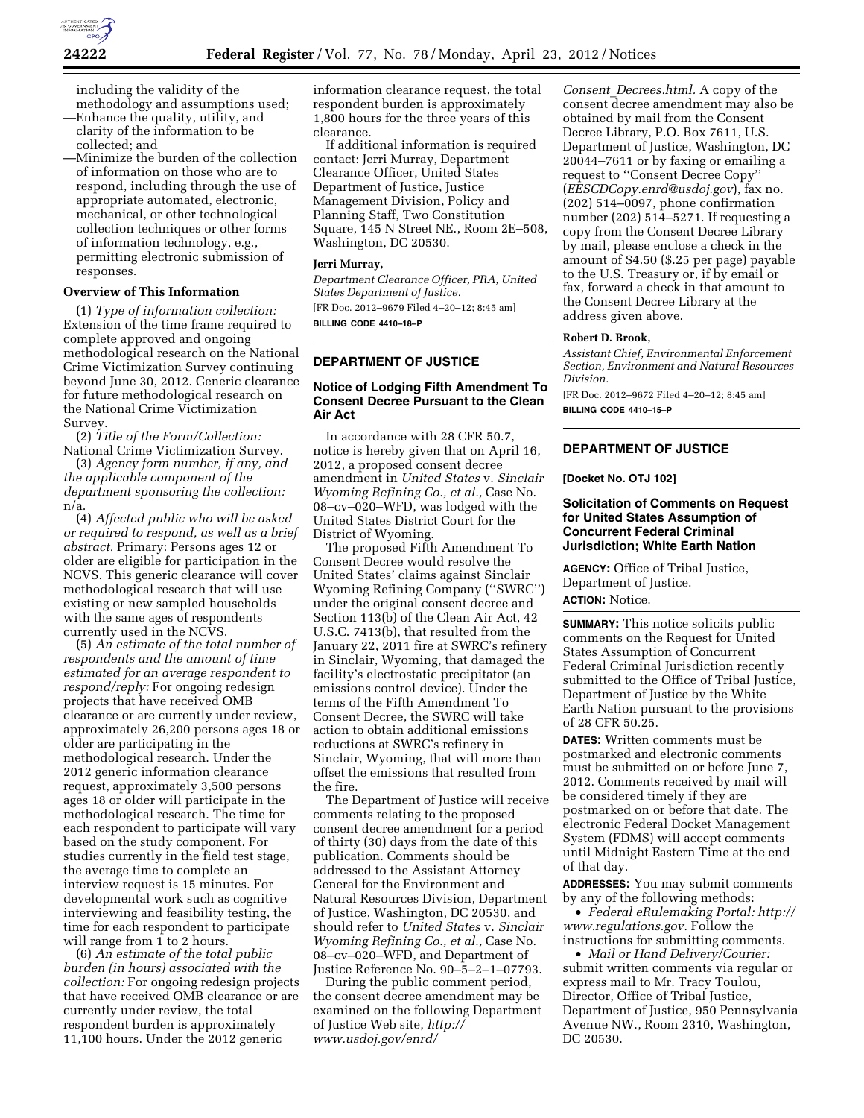

including the validity of the methodology and assumptions used;

- —Enhance the quality, utility, and clarity of the information to be collected; and
- —Minimize the burden of the collection of information on those who are to respond, including through the use of appropriate automated, electronic, mechanical, or other technological collection techniques or other forms of information technology, e.g., permitting electronic submission of responses.

## **Overview of This Information**

(1) *Type of information collection:*  Extension of the time frame required to complete approved and ongoing methodological research on the National Crime Victimization Survey continuing beyond June 30, 2012. Generic clearance for future methodological research on the National Crime Victimization Survey.

(2) *Title of the Form/Collection:*  National Crime Victimization Survey.

(3) *Agency form number, if any, and the applicable component of the department sponsoring the collection:*  n/a.

(4) *Affected public who will be asked or required to respond, as well as a brief abstract.* Primary: Persons ages 12 or older are eligible for participation in the NCVS. This generic clearance will cover methodological research that will use existing or new sampled households with the same ages of respondents currently used in the NCVS.

(5) *An estimate of the total number of respondents and the amount of time estimated for an average respondent to respond/reply:* For ongoing redesign projects that have received OMB clearance or are currently under review, approximately 26,200 persons ages 18 or older are participating in the methodological research. Under the 2012 generic information clearance request, approximately 3,500 persons ages 18 or older will participate in the methodological research. The time for each respondent to participate will vary based on the study component. For studies currently in the field test stage, the average time to complete an interview request is 15 minutes. For developmental work such as cognitive interviewing and feasibility testing, the time for each respondent to participate will range from 1 to 2 hours.

(6) *An estimate of the total public burden (in hours) associated with the collection:* For ongoing redesign projects that have received OMB clearance or are currently under review, the total respondent burden is approximately 11,100 hours. Under the 2012 generic

information clearance request, the total respondent burden is approximately 1,800 hours for the three years of this clearance.

If additional information is required contact: Jerri Murray, Department Clearance Officer, United States Department of Justice, Justice Management Division, Policy and Planning Staff, Two Constitution Square, 145 N Street NE., Room 2E–508, Washington, DC 20530.

#### **Jerri Murray,**

*Department Clearance Officer, PRA, United States Department of Justice.*  [FR Doc. 2012–9679 Filed 4–20–12; 8:45 am]

**BILLING CODE 4410–18–P** 

# **DEPARTMENT OF JUSTICE**

# **Notice of Lodging Fifth Amendment To Consent Decree Pursuant to the Clean Air Act**

In accordance with 28 CFR 50.7, notice is hereby given that on April 16, 2012, a proposed consent decree amendment in *United States* v. *Sinclair Wyoming Refining Co., et al.,* Case No. 08–cv–020–WFD, was lodged with the United States District Court for the District of Wyoming.

The proposed Fifth Amendment To Consent Decree would resolve the United States' claims against Sinclair Wyoming Refining Company (''SWRC'') under the original consent decree and Section 113(b) of the Clean Air Act, 42 U.S.C. 7413(b), that resulted from the January 22, 2011 fire at SWRC's refinery in Sinclair, Wyoming, that damaged the facility's electrostatic precipitator (an emissions control device). Under the terms of the Fifth Amendment To Consent Decree, the SWRC will take action to obtain additional emissions reductions at SWRC's refinery in Sinclair, Wyoming, that will more than offset the emissions that resulted from the fire.

The Department of Justice will receive comments relating to the proposed consent decree amendment for a period of thirty (30) days from the date of this publication. Comments should be addressed to the Assistant Attorney General for the Environment and Natural Resources Division, Department of Justice, Washington, DC 20530, and should refer to *United States* v. *Sinclair Wyoming Refining Co., et al.,* Case No. 08–cv–020–WFD, and Department of Justice Reference No. 90–5–2–1–07793.

During the public comment period, the consent decree amendment may be examined on the following Department of Justice Web site, *[http://](http://www.usdoj.gov/enrd/Consent_Decrees.html) [www.usdoj.gov/enrd/](http://www.usdoj.gov/enrd/Consent_Decrees.html)* 

*Consent*\_*[Decrees.html.](http://www.usdoj.gov/enrd/Consent_Decrees.html)* A copy of the consent decree amendment may also be obtained by mail from the Consent Decree Library, P.O. Box 7611, U.S. Department of Justice, Washington, DC 20044–7611 or by faxing or emailing a request to ''Consent Decree Copy'' (*[EESCDCopy.enrd@usdoj.gov](mailto:EESCDCopy.enrd@usdoj.gov)*), fax no. (202) 514–0097, phone confirmation number (202) 514–5271. If requesting a copy from the Consent Decree Library by mail, please enclose a check in the amount of \$4.50 (\$.25 per page) payable to the U.S. Treasury or, if by email or fax, forward a check in that amount to the Consent Decree Library at the address given above.

#### **Robert D. Brook,**

*Assistant Chief, Environmental Enforcement Section, Environment and Natural Resources Division.* 

[FR Doc. 2012–9672 Filed 4–20–12; 8:45 am] **BILLING CODE 4410–15–P** 

# **DEPARTMENT OF JUSTICE**

#### **[Docket No. OTJ 102]**

# **Solicitation of Comments on Request for United States Assumption of Concurrent Federal Criminal Jurisdiction; White Earth Nation**

**AGENCY:** Office of Tribal Justice, Department of Justice. **ACTION:** Notice.

**SUMMARY:** This notice solicits public comments on the Request for United States Assumption of Concurrent Federal Criminal Jurisdiction recently submitted to the Office of Tribal Justice, Department of Justice by the White Earth Nation pursuant to the provisions of 28 CFR 50.25.

**DATES:** Written comments must be postmarked and electronic comments must be submitted on or before June 7, 2012. Comments received by mail will be considered timely if they are postmarked on or before that date. The electronic Federal Docket Management System (FDMS) will accept comments until Midnight Eastern Time at the end of that day.

**ADDRESSES:** You may submit comments by any of the following methods:

• *Federal eRulemaking Portal: [http://](http://www.regulations.gov)  [www.regulations.gov.](http://www.regulations.gov)* Follow the instructions for submitting comments.

• *Mail or Hand Delivery/Courier:*  submit written comments via regular or express mail to Mr. Tracy Toulou, Director, Office of Tribal Justice, Department of Justice, 950 Pennsylvania Avenue NW., Room 2310, Washington, DC 20530.